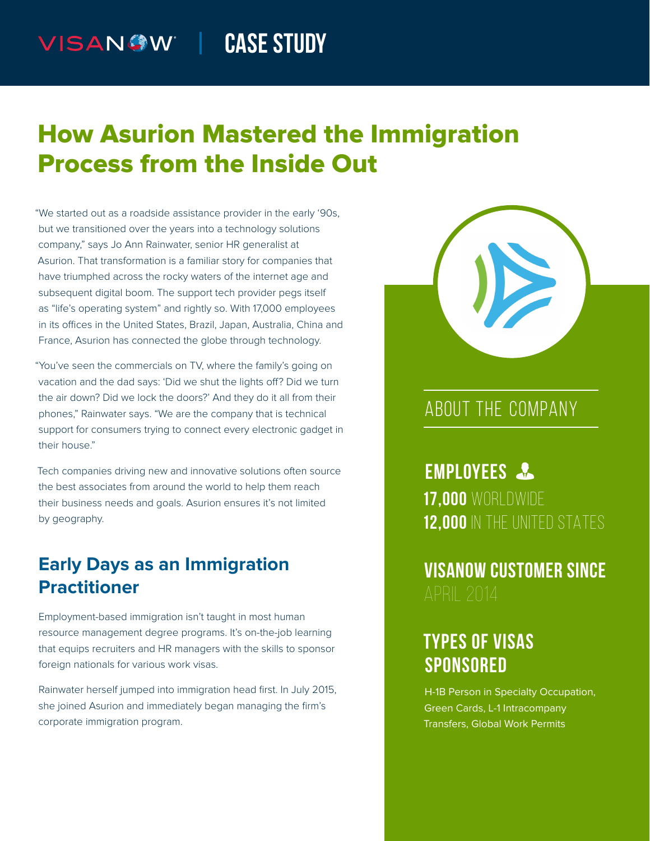#### **CASE STUDY** VISANOW |

# How Asurion Mastered the Immigration Process from the Inside Out

"We started out as a roadside assistance provider in the early '90s, but we transitioned over the years into a technology solutions company," says Jo Ann Rainwater, senior HR generalist at Asurion. That transformation is a familiar story for companies that have triumphed across the rocky waters of the internet age and subsequent digital boom. The support tech provider pegs itself as "life's operating system" and rightly so. With 17,000 employees in its offices in the United States, Brazil, Japan, Australia, China and France, Asurion has connected the globe through technology.

"You've seen the commercials on TV, where the family's going on vacation and the dad says: 'Did we shut the lights off? Did we turn the air down? Did we lock the doors?' And they do it all from their phones," Rainwater says. "We are the company that is technical support for consumers trying to connect every electronic gadget in their house."

Tech companies driving new and innovative solutions often source the best associates from around the world to help them reach their business needs and goals. Asurion ensures it's not limited by geography.

### **Early Days as an Immigration Practitioner**

Employment-based immigration isn't taught in most human resource management degree programs. It's on-the-job learning that equips recruiters and HR managers with the skills to sponsor foreign nationals for various work visas.

Rainwater herself jumped into immigration head first. In July 2015, she joined Asurion and immediately began managing the firm's corporate immigration program.



### ABOUT THE COMPANY

**EMPLOYEES 17,000** WORLDWIDE **12,000** IN THE UNITED STATES

**VISANOW CUSTOMER SINCE**

## **TYPES OF VISAS SPONSORED**

H-1B Person in Specialty Occupation, Green Cards, L-1 Intracompany Transfers, Global Work Permits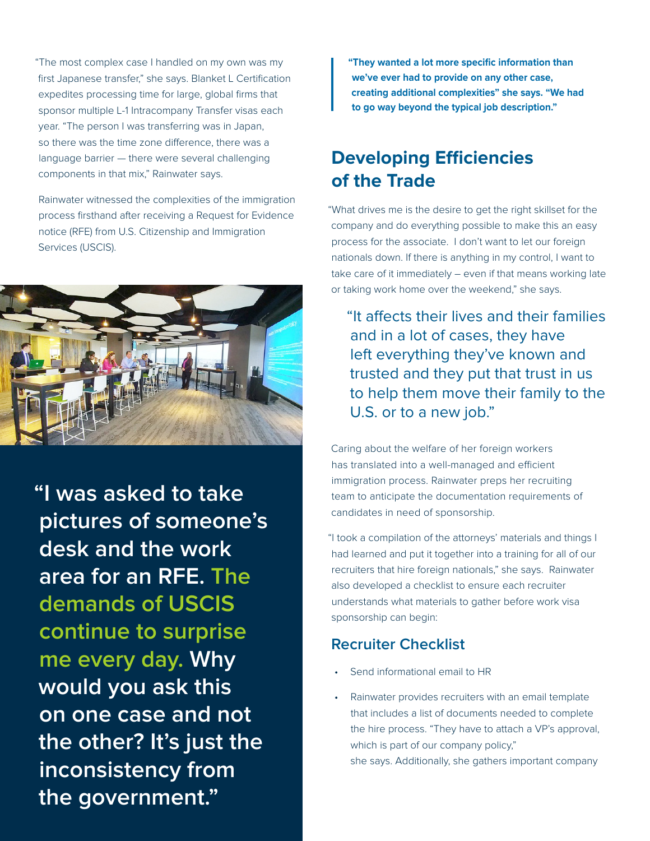"The most complex case I handled on my own was my first Japanese transfer," she says. Blanket L Certification expedites processing time for large, global firms that sponsor multiple L-1 Intracompany Transfer visas each year. "The person I was transferring was in Japan, so there was the time zone difference, there was a language barrier — there were several challenging components in that mix," Rainwater says.

Rainwater witnessed the complexities of the immigration process firsthand after receiving a Request for Evidence notice (RFE) from U.S. Citizenship and Immigration Services (USCIS).



**"I was asked to take pictures of someone's desk and the work area for an RFE. The demands of USCIS continue to surprise me every day. Why would you ask this on one case and not the other? It's just the inconsistency from the government."**

**"They wanted a lot more specific information than we've ever had to provide on any other case, creating additional complexities" she says. "We had to go way beyond the typical job description."**

### **Developing Efficiencies of the Trade**

"What drives me is the desire to get the right skillset for the company and do everything possible to make this an easy process for the associate. I don't want to let our foreign nationals down. If there is anything in my control, I want to take care of it immediately – even if that means working late or taking work home over the weekend," she says.

"It affects their lives and their families and in a lot of cases, they have left everything they've known and trusted and they put that trust in us to help them move their family to the U.S. or to a new job."

Caring about the welfare of her foreign workers has translated into a well-managed and efficient immigration process. Rainwater preps her recruiting team to anticipate the documentation requirements of candidates in need of sponsorship.

"I took a compilation of the attorneys' materials and things I had learned and put it together into a training for all of our recruiters that hire foreign nationals," she says. Rainwater also developed a checklist to ensure each recruiter understands what materials to gather before work visa sponsorship can begin:

#### **Recruiter Checklist**

- Send informational email to HR
- Rainwater provides recruiters with an email template that includes a list of documents needed to complete the hire process. "They have to attach a VP's approval, which is part of our company policy," she says. Additionally, she gathers important company